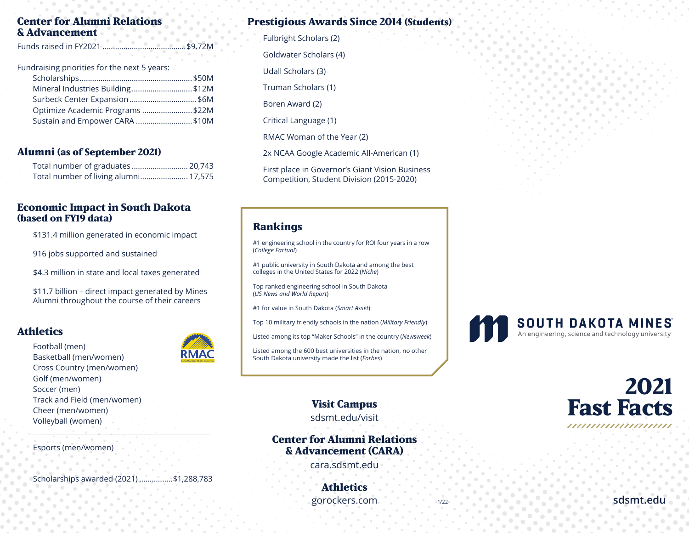#### **Center for Alumni Relations & Advancement**

Fundraising priorities for the next 5 years:

| Mineral Industries Building\$12M |  |
|----------------------------------|--|
| Surbeck Center Expansion  \$6M   |  |
| Optimize Academic Programs \$22M |  |
| Sustain and Empower CARA \$10M   |  |
|                                  |  |

#### **Alumni (as of September 2021)**

| Total number of graduates  20,743    |  |
|--------------------------------------|--|
| Total number of living alumni 17,575 |  |

#### **Economic Impact in South Dakota (based on FY19 data)**

\$131.4 million generated in economic impact

916 jobs supported and sustained

\$4.3 million in state and local taxes generated

\$11.7 billion – direct impact generated by Mines Alumni throughout the course of their careers

#### **Athletics**

Football (men) Basketball (men/women) Cross Country (men/women) Golf (men/women) Soccer (men) Track and Field (men/women) Cheer (men/women) Volleyball (women)

**RMAC** 

Esports (men/women)

Scholarships awarded (2021) ................\$1,288,783

# **Prestigious Awards Since 2014 (Students)**

Fulbright Scholars (2) Goldwater Scholars (4) Udall Scholars (3) Truman Scholars (1) Boren Award (2)

Critical Language (1)

RMAC Woman of the Year (2)

2x NCAA Google Academic All-American (1)

First place in Governor's Giant Vision Business Competition, Student Division (2015-2020)

#### **Rankings**

#1 engineering school in the country for ROI four years in a row (*College Factual*)

#1 public university in South Dakota and among the best colleges in the United States for 2022 (*Niche*)

Top ranked engineering school in South Dakota (*US News and World Report*)

#1 for value in South Dakota (*Smart Asset*)

Top 10 military friendly schools in the nation (*Military Friendly*)

Listed among its top "Maker Schools" in the country (*Newsweek*)

Listed among the 600 best universities in the nation, no other South Dakota university made the list (*Forbes*)

**Visit Campus**

sdsmt.edu/visit

**Center for Alumni Relations & Advancement (CARA)**

cara.sdsmt.edu

**Athletics** gorockers.com

1/22





**sdsmt.edu**